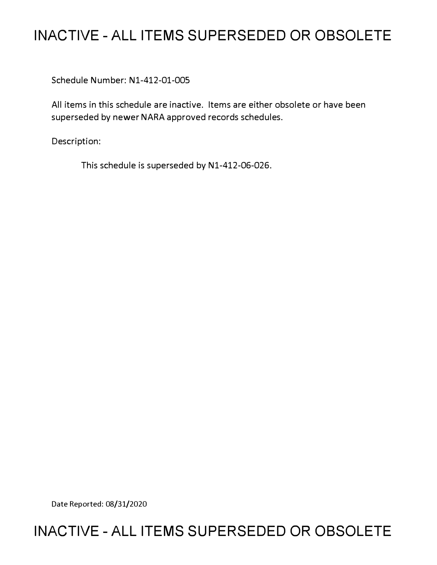# **INACTIVE - ALL ITEMS SUPERSEDED OR OBSOLETE**

Schedule Number: Nl-412-01-005

All items in this schedule are inactive. Items are either obsolete or have been superseded by newer NARA approved records schedules.

Description:

This schedule is superseded by N1-412-06-026.

Date Reported: 08/31/2020

# **INACTIVE - ALL ITEMS SUPERSEDED OR OBSOLETE**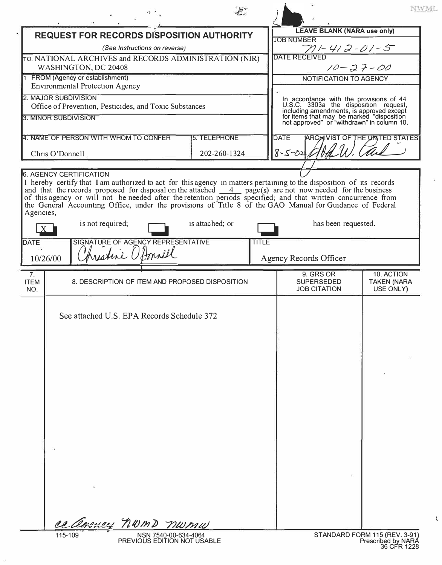|                                                                                                                                                                                                                                                                                                                                                                                                                                                                                                             |                                                                                                                                                                              | NWML |  |  |
|-------------------------------------------------------------------------------------------------------------------------------------------------------------------------------------------------------------------------------------------------------------------------------------------------------------------------------------------------------------------------------------------------------------------------------------------------------------------------------------------------------------|------------------------------------------------------------------------------------------------------------------------------------------------------------------------------|------|--|--|
| <b>REQUEST FOR RECORDS DISPOSITION AUTHORITY</b>                                                                                                                                                                                                                                                                                                                                                                                                                                                            | <b>LEAVE BLANK (NARA use only)</b><br><b>JOB NUMBER</b>                                                                                                                      |      |  |  |
| (See Instructions on reverse)                                                                                                                                                                                                                                                                                                                                                                                                                                                                               | $711 - 412 - 01 - 5$                                                                                                                                                         |      |  |  |
| TO. NATIONAL ARCHIVES and RECORDS ADMINISTRATION (NIR)<br>WASHINGTON, DC 20408                                                                                                                                                                                                                                                                                                                                                                                                                              | <b>DATE RECEIVED</b><br>$10 - 27 - 00$                                                                                                                                       |      |  |  |
| FROM (Agency or establishment)<br><b>Environmental Protection Agency</b>                                                                                                                                                                                                                                                                                                                                                                                                                                    | NOTIFICATION TO AGENCY                                                                                                                                                       |      |  |  |
| 2. MAJOR SUBDIVISION<br>Office of Prevention, Pesticides, and Toxic Substances                                                                                                                                                                                                                                                                                                                                                                                                                              | In accordance with the provisions of 44                                                                                                                                      |      |  |  |
| 3. MINOR SUBDIVISION                                                                                                                                                                                                                                                                                                                                                                                                                                                                                        | U.S.C. 3303a the disposition request,<br>including amendments, is approved except<br>for items that may be marked "disposition<br>not approved" or "withdrawn" in column 10. |      |  |  |
| 4. NAME OF PERSON WITH WHOM TO CONFER<br>5. TELEPHONE                                                                                                                                                                                                                                                                                                                                                                                                                                                       | <b>DATE</b><br><b>ARCHIVIST OF THE UNITED STATES</b>                                                                                                                         |      |  |  |
| 202-260-1324<br>Chris O'Donnell                                                                                                                                                                                                                                                                                                                                                                                                                                                                             | $8 - 5 - 02$                                                                                                                                                                 |      |  |  |
| and that the records proposed for disposal on the attached $\frac{4}{\sqrt{2}}$ page(s) are not now needed for the business<br>of this agency or will not be needed after the retention periods specified; and that written concurrence from<br>the General Accounting Office, under the provisions of Title 8 of the GAO Manual for Guidance of Federal<br>Agencies,<br>is not required;<br>is attached; or<br>SIGNATURE OF AGENCY REPRESENTATIVE<br><b>TITLE</b><br>DATE<br>Christine O'Amall<br>10/26/00 | has been requested.<br>Agency Records Officer                                                                                                                                |      |  |  |
| 7.                                                                                                                                                                                                                                                                                                                                                                                                                                                                                                          | 10. ACTION<br>9. GRS OR                                                                                                                                                      |      |  |  |
| 8. DESCRIPTION OF ITEM AND PROPOSED DISPOSITION<br><b>ITEM</b><br>NO.                                                                                                                                                                                                                                                                                                                                                                                                                                       | <b>SUPERSEDED</b><br><b>TAKEN (NARA</b><br><b>JOB CITATION</b><br>USE ONLY)                                                                                                  |      |  |  |
| See attached U.S. EPA Records Schedule 372                                                                                                                                                                                                                                                                                                                                                                                                                                                                  |                                                                                                                                                                              |      |  |  |
| ce avency norma numu<br>115-109<br>NSN 7540-00-634-4064                                                                                                                                                                                                                                                                                                                                                                                                                                                     | STANDARD FORM 115 (REV. 3-91)                                                                                                                                                |      |  |  |

 $\lesssim$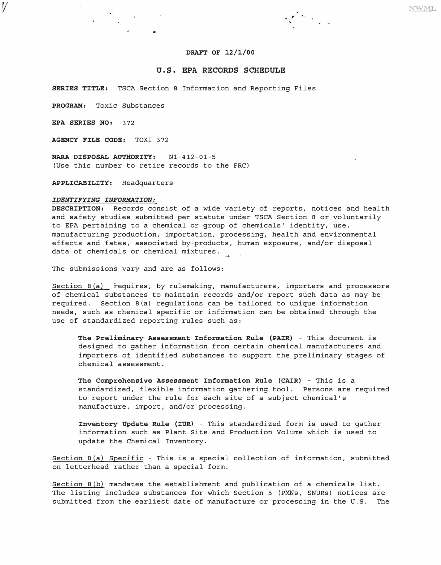#### **DRAFT OF 12/1/00**

 $s^{\ell}$  .

# **U.S. EPA RECORDS SCHEDULE**

**SERIES TITLE:** TSCA Section 8 Information and Reporting Files

**PROGRAM:** Toxic Substances

**EPA SERIES NO:** 372

*1/* 

**AGENCY FILE CODE:** TOXI 372

**NARA DISPOSAL AUTHORITY:** Nl-412-01-5 (Use this number to retire records to the FRC)

**APPLICABILITY:** Headquarters

#### *IDENTIFYING INFORMATION:*

**DESCRIPTION:** Records consist of a wide variety of reports, notices and health and safety studies submitted per statute under TSCA Section 8 or voluntarily to EPA pertaining to a chemical or group of chemicals' identity, use, manufacturing production, importation, processing, h�alth and environmental effects and fates, associated by-products, human exposure, and/or disposal data of chemicals or chemical mixtures.

The submissions vary and are as follows:

Section 8(a) requires, by rulemaking, manufacturers, importers and processors of chemical substances to maintain records and/or report such data as may be required. Section B(a) regulations can be tailored to unique information needs, such as chemical specific or information can be obtained through the use of standardized reporting rules such as:

**The Preliminary Assessment Information Rule (PAIR)** - This document is designed to gather information from certain chemical manufacturers and importers of identified substances to support the preliminary stages of chemical assessment.

**The Comprehensive Assessment Information Rule (CAIR)** - This is a standardized, flexible information gathering tool. Persons are required to report under the rule for each site of a subject chemical's manufacture, import, and/or processing.

**Inventory Update Rule (IUR)** - This standardized form is used to gather information such as Plant Site and Production Volume which is used to update the Chemical Inventory.

Section B(a) Specific - This is a special collection of information, submitted on letterhead rather than a special form.

Section B(b) mandates the establishment and publication of a chemicals list. The listing includes substances for which Section 5 (PMNs, SNURs) notices are submitted from the earliest date of manufacture or processing in the U.S. The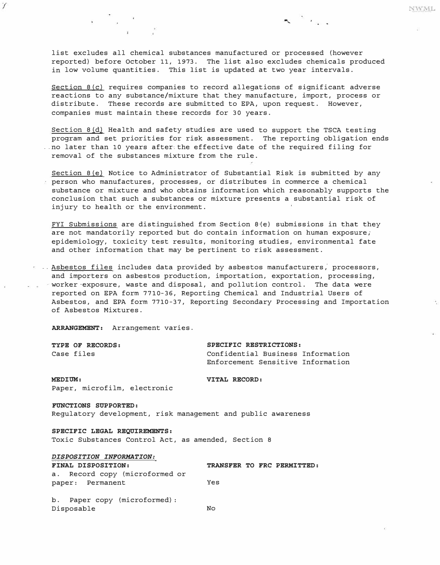list excludes all chemical substances manufactured or processed (however reported) before October 11, 1973. The list also excludes chemicals produced in low volume quantities. This list is updated at two year intervals.

 $\sim$   $\sim$   $\sim$  .

NWML

Section 8(c) requires companies to record allegations of significant adverse reactions to any substance/mixture that they manufacture, import, process or distribute. These records are submitted to EPA, upon request. However, companies must maintain these records for 30 years.

Section B(d) Health and safety studies are used to support the TSCA testing program and set priorities for risk assessment. The reporting obligation ends ..no later than 10 years after the effective date of the required filing for removal of the substances mixture from the rule.

Section  $B(e)$  Notice to Administrator of Substantial Risk is submitted by any person who manufactures, processes, or distributes in commerce a chemical substance or mixture and who obtains information which reasonably supports the conclusion that such a substances or mixture presents a substantial risk of injury to health or the environment.

FYI Submissions are distinguished from Section  $8(e)$  submissions in that they are not mandatorily reported but do contain information on human exposure; epidemiology, toxicity test results, monitoring studies, environmental fate and other information that may be pertinent to risk assessment.

. Asbestos files includes data provided by asbestos manufacturers, processors, and importers on asbestos production, importation, exportation, processing, worker-exposure, waste and disposal, and pollution control. The data were reported on EPA form 7710- 36, Reporting Chemical and Industrial Users of Asbestos, and EPA form 7710-37, Reporting Secondary Processing and Importation of Asbestos Mixtures.

*ARRANGEMENT:* Arrangement varies.

 $\mathcal{I}$ 

*TYPE OF RECORDS: SPECIFIC RESTRICTIONS:*  Confidential Business Information Enforcement Sensitive Information

*MEDIUM: VITAL RECORD:*  Paper, microfilm, electronic

*FUNCTIONS SUPPORTED:*  Regulatory development, risk management and public awareness

*SPECIFIC LEGAL REQUIREMENTS:*  Toxic Substances Control Act, as amended, Section 8

| DIDFODIIION INFORMITON.        |     |  |                            |
|--------------------------------|-----|--|----------------------------|
| <b>FINAL DISPOSITION:</b>      |     |  | TRANSFER TO FRC PERMITTED: |
| a. Record copy (microformed or |     |  |                            |
| paper: Permanent               | Yes |  |                            |
|                                |     |  |                            |

b. Paper copy (microformed) : Disposable No

*DISPOSITION INFORMATION:*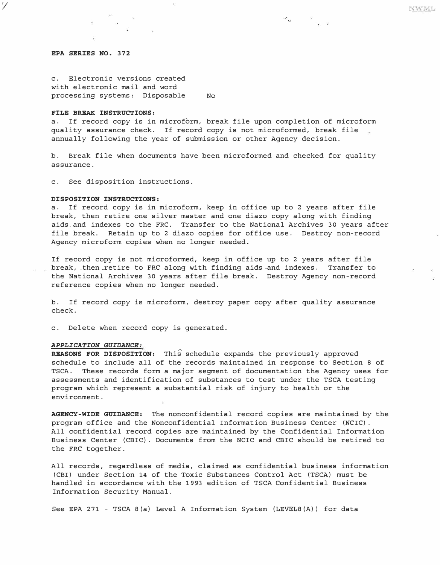### *EPA SERIES NO. 372*

*1/* 

c. Electronic versions created with electronic mail and word processing systems: Disposable No

#### *FILE BREAK INSTRUCTIONS:*

a. If record copy is in microform, break file upon completion of microform quality assurance check. If record copy is not microformed, break file annually following the year of submission or other Agency decision.

 $\mathbf{z}_i = \mathbf{x}_i$ 

b. Break file when documents have been microformed and checked for quality assurance.

c. See disposition instructions.

# *DISPOSITION INSTRUCTIONS:*

a. If record copy is in microform, keep in office up to 2 years after file break, then retire one silver master and one diazo copy along with finding aids and indexes to the FRC. Transfer to the National Archives 30 years after file break. Retain up to 2 diazo copies for office use. Destroy non-record Agency microform copies when no longer needed.

If record copy is not microformed, keep in office up to 2 years after file break, .then\_retire to FRC along with finding aids -and indexes. T�ansfer to the National Archives 30 years after file break. Destroy Agency non-record reference copies when no longer needed.

b. If record copy is microform, destroy paper copy after quality assurance check.

c. Delete when record copy is generated.

#### *APPLICATION GUIDANCE:*

*REASONS FOR DISPOSITION:* This schedule expands the previously approved schedule to include all of the records maintained in response to Section 8 of TSCA. These records form a major segment of documentation the Agency uses for assessments and identification of substances to test under the TSCA testing program which represent a substantial risk of injury to health or the environment.

*AGENCY-WIDE GUIDANCE:* The nonconfidential record copies are maintained by the program office and the Nonconfidential Information Business Center (NCIC) . All confidential record copies are maintained by the Confidential Information Business Center (CBIC) . Documents from the NCIC and CBIC should be retired to the FRC together.

All records, regardless of media, claimed as confidential business information (CBI) under Section 14 of the Toxic Substances Control Act (TSCA) must be handled in accordance with the 1993 edition of TSCA Confidential Business Information Security Manual.

See EPA 271 - TSCA B(a) Level A Information System (LEVELB(A) ) for data

NWML